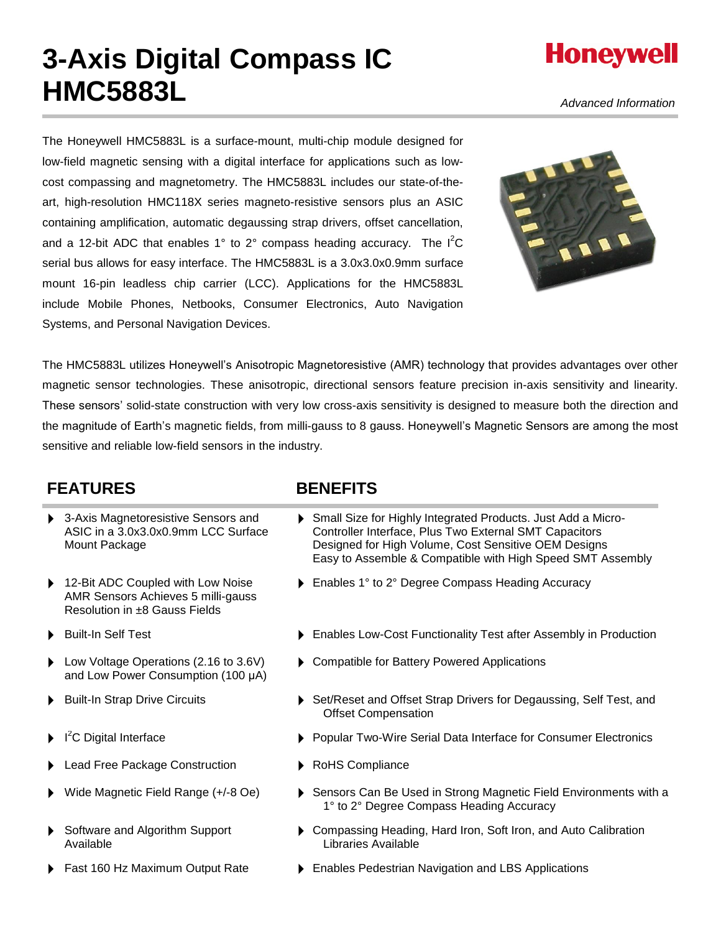# **3-Axis Digital Compass IC HMC5883L**

*Advanced Information*

**Honeywell** 

The Honeywell HMC5883L is a surface-mount, multi-chip module designed for low-field magnetic sensing with a digital interface for applications such as lowcost compassing and magnetometry. The HMC5883L includes our state-of-theart, high-resolution HMC118X series magneto-resistive sensors plus an ASIC containing amplification, automatic degaussing strap drivers, offset cancellation, and a 12-bit ADC that enables 1° to 2° compass heading accuracy. The  $I^2C$ serial bus allows for easy interface. The HMC5883L is a 3.0x3.0x0.9mm surface mount 16-pin leadless chip carrier (LCC). Applications for the HMC5883L include Mobile Phones, Netbooks, Consumer Electronics, Auto Navigation Systems, and Personal Navigation Devices.



The HMC5883L utilizes Honeywell's Anisotropic Magnetoresistive (AMR) technology that provides advantages over other magnetic sensor technologies. These anisotropic, directional sensors feature precision in-axis sensitivity and linearity. These sensors' solid-state construction with very low cross-axis sensitivity is designed to measure both the direction and the magnitude of Earth's magnetic fields, from milli-gauss to 8 gauss. Honeywell's Magnetic Sensors are among the most sensitive and reliable low-field sensors in the industry.

### **FEATURES BENEFITS**

- 3-Axis Magnetoresistive Sensors and ASIC in a 3.0x3.0x0.9mm LCC Surface Mount Package
- 12-Bit ADC Coupled with Low Noise AMR Sensors Achieves 5 milli-gauss Resolution in ±8 Gauss Fields
- 
- Low Voltage Operations (2.16 to 3.6V) and Low Power Consumption (100 μA)
- 
- I<sup>2</sup>C Digital Interface
- Lead Free Package Construction  $\longrightarrow$  RoHS Compliance
- 
- Software and Algorithm Support Available
- 

- Small Size for Highly Integrated Products. Just Add a Micro-Controller Interface, Plus Two External SMT Capacitors Designed for High Volume, Cost Sensitive OEM Designs Easy to Assemble & Compatible with High Speed SMT Assembly
- ▶ Enables 1° to 2° Degree Compass Heading Accuracy
- Built-In Self Test **Enables Low-Cost Functionality Test after Assembly in Production** 
	- Compatible for Battery Powered Applications
- Built-In Strap Drive Circuits **Subset Actual Acts** Set/Reset and Offset Strap Drivers for Degaussing, Self Test, and Offset Compensation
	- **> Popular Two-Wire Serial Data Interface for Consumer Electronics**
	-
- Wide Magnetic Field Range (+/-8 Oe) Exercise Sensors Can Be Used in Strong Magnetic Field Environments with a 1° to 2° Degree Compass Heading Accuracy
	- Compassing Heading, Hard Iron, Soft Iron, and Auto Calibration Libraries Available
- Fast 160 Hz Maximum Output Rate **Inter 19th** Enables Pedestrian Navigation and LBS Applications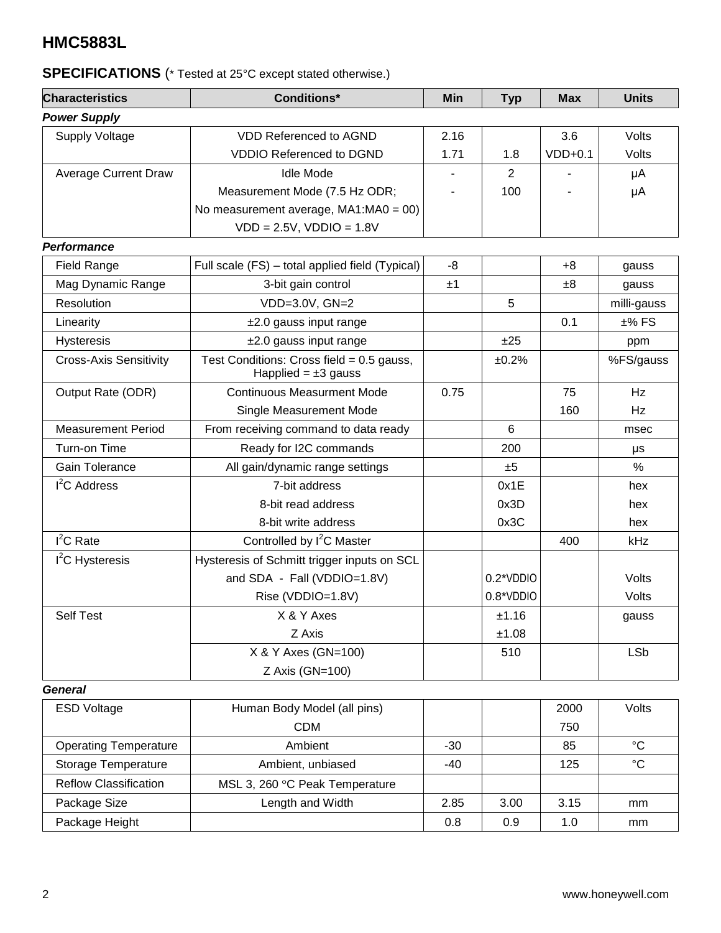## **SPECIFICATIONS** (\* Tested at 25°C except stated otherwise.)

| <b>Characteristics</b>                                                                                   | Min                                             | <b>Typ</b> | <b>Max</b>     | <b>Units</b> |               |
|----------------------------------------------------------------------------------------------------------|-------------------------------------------------|------------|----------------|--------------|---------------|
| <b>Power Supply</b>                                                                                      |                                                 |            |                |              |               |
| <b>Supply Voltage</b>                                                                                    | <b>VDD Referenced to AGND</b>                   | 2.16       |                | 3.6          | Volts         |
|                                                                                                          | <b>VDDIO Referenced to DGND</b>                 | 1.71       | 1.8            | $VDD+0.1$    | Volts         |
| <b>Average Current Draw</b>                                                                              | <b>Idle Mode</b>                                |            | $\overline{2}$ |              | μA            |
|                                                                                                          | Measurement Mode (7.5 Hz ODR;                   |            | 100            |              | μA            |
|                                                                                                          | No measurement average, MA1:MA0 = 00)           |            |                |              |               |
|                                                                                                          | $VDD = 2.5V$ , $VDDIO = 1.8V$                   |            |                |              |               |
| <b>Performance</b>                                                                                       |                                                 |            |                |              |               |
| <b>Field Range</b>                                                                                       | Full scale (FS) - total applied field (Typical) | -8         |                | $+8$         | gauss         |
| Mag Dynamic Range                                                                                        | 3-bit gain control                              | ±1         |                | ±8           | gauss         |
| Resolution                                                                                               | VDD=3.0V, GN=2                                  |            | 5              |              | milli-gauss   |
| Linearity                                                                                                | $±2.0$ gauss input range                        |            |                | 0.1          | $±%$ FS       |
| Hysteresis                                                                                               | ±2.0 gauss input range<br>±25                   |            |                |              | ppm           |
| Test Conditions: Cross field = $0.5$ gauss,<br><b>Cross-Axis Sensitivity</b><br>Happlied = $\pm 3$ gauss |                                                 | ±0.2%      |                | %FS/gauss    |               |
| Output Rate (ODR)                                                                                        | <b>Continuous Measurment Mode</b>               | 0.75       |                | 75           | Hz            |
|                                                                                                          | Single Measurement Mode                         |            |                | 160          | Hz            |
| <b>Measurement Period</b>                                                                                | From receiving command to data ready            |            | 6              |              | msec          |
| Turn-on Time                                                                                             | Ready for I2C commands                          |            | 200            |              | μs            |
| Gain Tolerance                                                                                           | All gain/dynamic range settings                 |            | ±5             |              | $\frac{0}{0}$ |
| I <sup>2</sup> C Address                                                                                 | 7-bit address                                   |            | 0x1E           |              | hex           |
|                                                                                                          | 8-bit read address                              |            | 0x3D           |              | hex           |
|                                                                                                          | 8-bit write address                             |            | 0x3C           |              | hex           |
| $I^2C$ Rate                                                                                              | Controlled by I <sup>2</sup> C Master           |            |                | 400          | kHz           |
| $I2C$ Hysteresis                                                                                         | Hysteresis of Schmitt trigger inputs on SCL     |            |                |              |               |
|                                                                                                          | and SDA - Fall (VDDIO=1.8V)                     |            | 0.2*VDDIO      |              | Volts         |
|                                                                                                          | Rise (VDDIO=1.8V)                               |            | 0.8*VDDIO      |              | Volts         |
| Self Test                                                                                                | X & Y Axes                                      |            | ±1.16          |              | gauss         |
|                                                                                                          | Z Axis                                          |            | ±1.08          |              |               |
|                                                                                                          | X & Y Axes (GN=100)                             |            | 510            |              | <b>LSb</b>    |
|                                                                                                          | Z Axis (GN=100)                                 |            |                |              |               |
| <b>General</b>                                                                                           |                                                 |            |                |              |               |
| <b>ESD Voltage</b>                                                                                       | Human Body Model (all pins)                     |            |                | 2000         | Volts         |
|                                                                                                          | $\sim$ ni                                       |            |                | 750          |               |

| <b>ESD Voltage</b>           | Human Body Model (all pins)    |      |      |      | Volts       |
|------------------------------|--------------------------------|------|------|------|-------------|
|                              | <b>CDM</b>                     |      | 750  |      |             |
| <b>Operating Temperature</b> | Ambient                        | -30  |      | 85   | °C          |
| Storage Temperature          | Ambient, unbiased              | -40  |      | 125  | $^{\circ}C$ |
| <b>Reflow Classification</b> | MSL 3, 260 °C Peak Temperature |      |      |      |             |
| Package Size                 | Length and Width               | 2.85 | 3.00 | 3.15 | mm          |
| Package Height               |                                | 0.8  | 0.9  | 1.0  | mm          |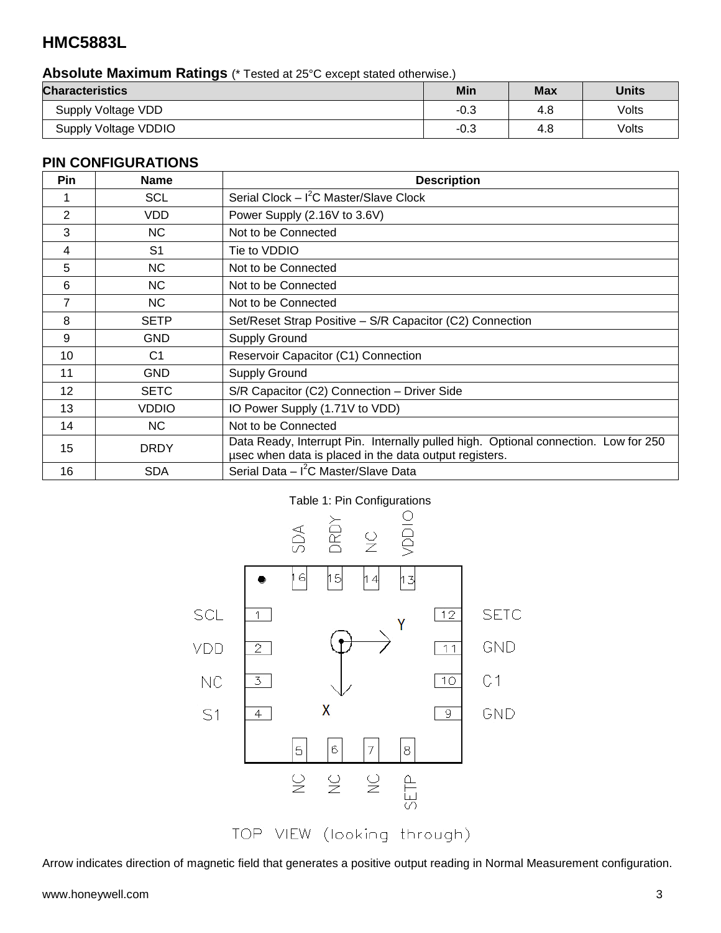### **Absolute Maximum Ratings** (\* Tested at 25°C except stated otherwise.)

| <b>Characteristics</b> | Min    | <b>Max</b> | <b>Units</b> |
|------------------------|--------|------------|--------------|
| Supply Voltage VDD     | $-0.3$ | 4.8        | Volts        |
| Supply Voltage VDDIO   | $-0.3$ | 4.8        | Volts        |

#### **PIN CONFIGURATIONS**

| Pin | <b>Name</b>    | <b>Description</b>                                                                                                                            |
|-----|----------------|-----------------------------------------------------------------------------------------------------------------------------------------------|
|     | <b>SCL</b>     | Serial Clock $- I2C$ Master/Slave Clock                                                                                                       |
| 2   | VDD            | Power Supply (2.16V to 3.6V)                                                                                                                  |
| 3   | <b>NC</b>      | Not to be Connected                                                                                                                           |
| 4   | S <sub>1</sub> | Tie to VDDIO                                                                                                                                  |
| 5   | <b>NC</b>      | Not to be Connected                                                                                                                           |
| 6   | <b>NC</b>      | Not to be Connected                                                                                                                           |
| 7   | <b>NC</b>      | Not to be Connected                                                                                                                           |
| 8   | <b>SETP</b>    | Set/Reset Strap Positive - S/R Capacitor (C2) Connection                                                                                      |
| 9   | <b>GND</b>     | <b>Supply Ground</b>                                                                                                                          |
| 10  | C <sub>1</sub> | Reservoir Capacitor (C1) Connection                                                                                                           |
| 11  | <b>GND</b>     | <b>Supply Ground</b>                                                                                                                          |
| 12  | <b>SETC</b>    | S/R Capacitor (C2) Connection - Driver Side                                                                                                   |
| 13  | <b>VDDIO</b>   | IO Power Supply (1.71V to VDD)                                                                                                                |
| 14  | NC.            | Not to be Connected                                                                                                                           |
| 15  | <b>DRDY</b>    | Data Ready, Interrupt Pin. Internally pulled high. Optional connection. Low for 250<br>usec when data is placed in the data output registers. |
| 16  | <b>SDA</b>     | Serial Data - I <sup>2</sup> C Master/Slave Data                                                                                              |

#### Table 1: Pin Configurations



Arrow indicates direction of magnetic field that generates a positive output reading in Normal Measurement configuration.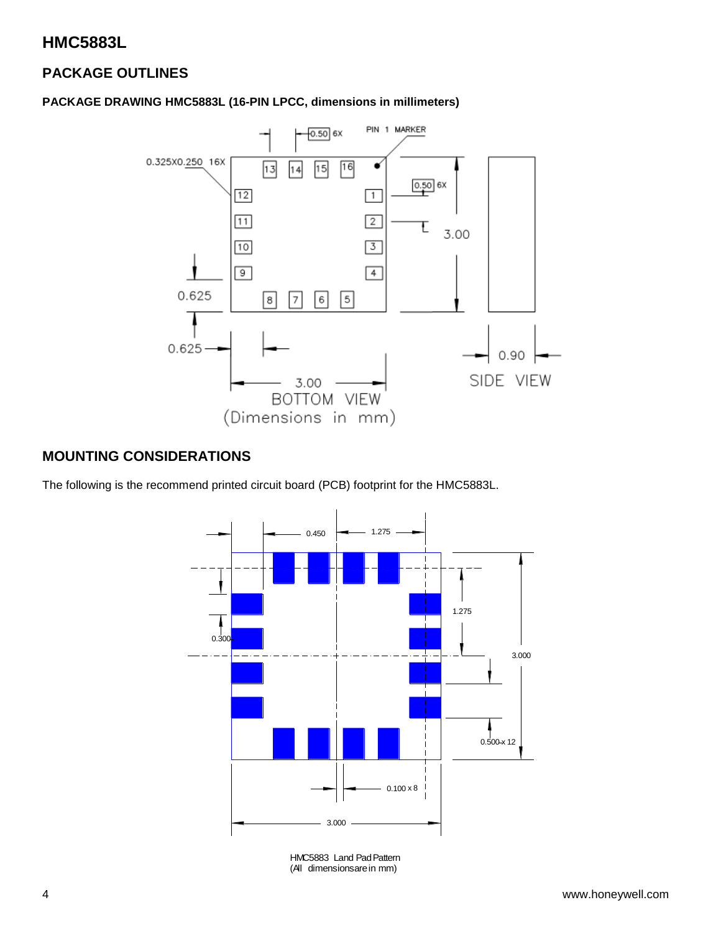### **PACKAGE OUTLINES**

#### **PACKAGE DRAWING HMC5883L (16-PIN LPCC, dimensions in millimeters)**



### **MOUNTING CONSIDERATIONS**

The following is the recommend printed circuit board (PCB) footprint for the HMC5883L.



HMC5883 Land Pad Pattern (All dimensions are in mm)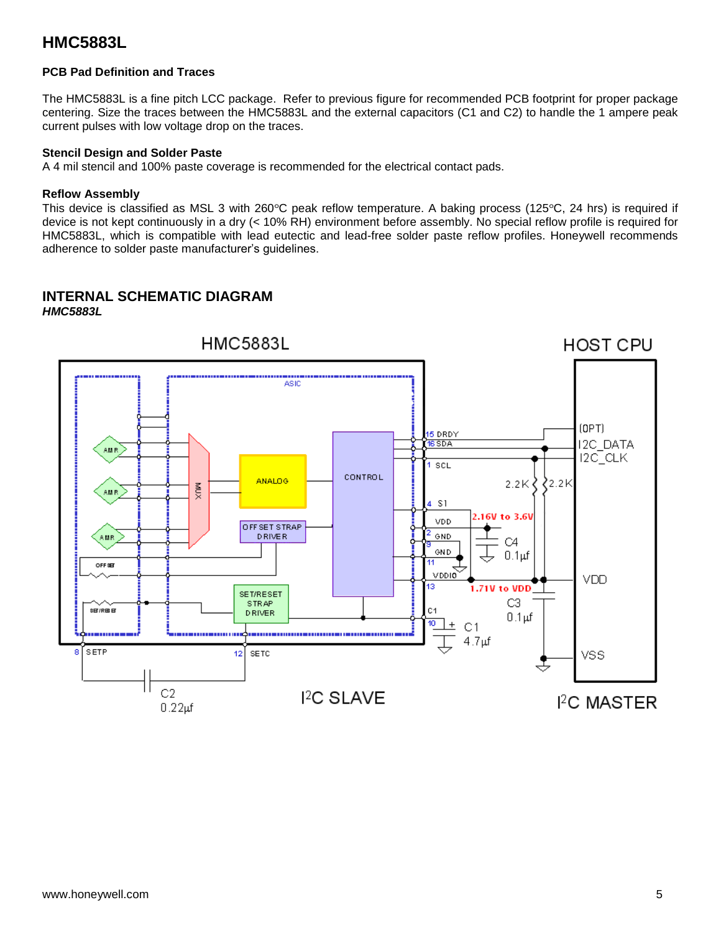#### **PCB Pad Definition and Traces**

The HMC5883L is a fine pitch LCC package. Refer to previous figure for recommended PCB footprint for proper package centering. Size the traces between the HMC5883L and the external capacitors (C1 and C2) to handle the 1 ampere peak current pulses with low voltage drop on the traces.

#### **Stencil Design and Solder Paste**

A 4 mil stencil and 100% paste coverage is recommended for the electrical contact pads.

#### **Reflow Assembly**

This device is classified as MSL 3 with 260 $\degree$ C peak reflow temperature. A baking process (125 $\degree$ C, 24 hrs) is required if device is not kept continuously in a dry (< 10% RH) environment before assembly. No special reflow profile is required for HMC5883L, which is compatible with lead eutectic and lead-free solder paste reflow profiles. Honeywell recommends adherence to solder paste manufacturer's guidelines.

#### **INTERNAL SCHEMATIC DIAGRAM** *HMC5883L*

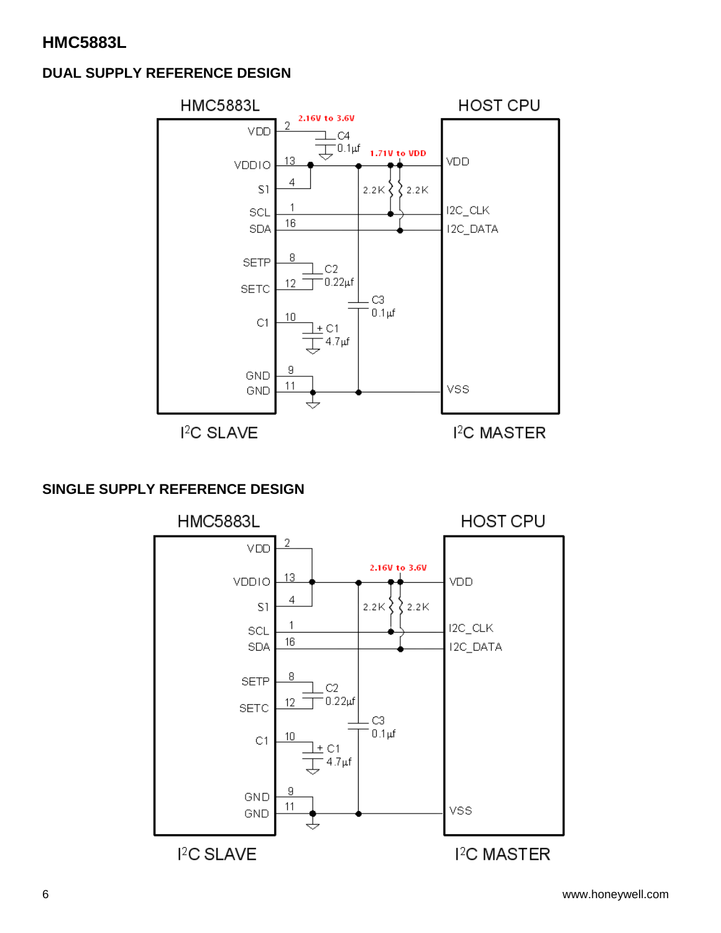### **DUAL SUPPLY REFERENCE DESIGN**



### **SINGLE SUPPLY REFERENCE DESIGN**

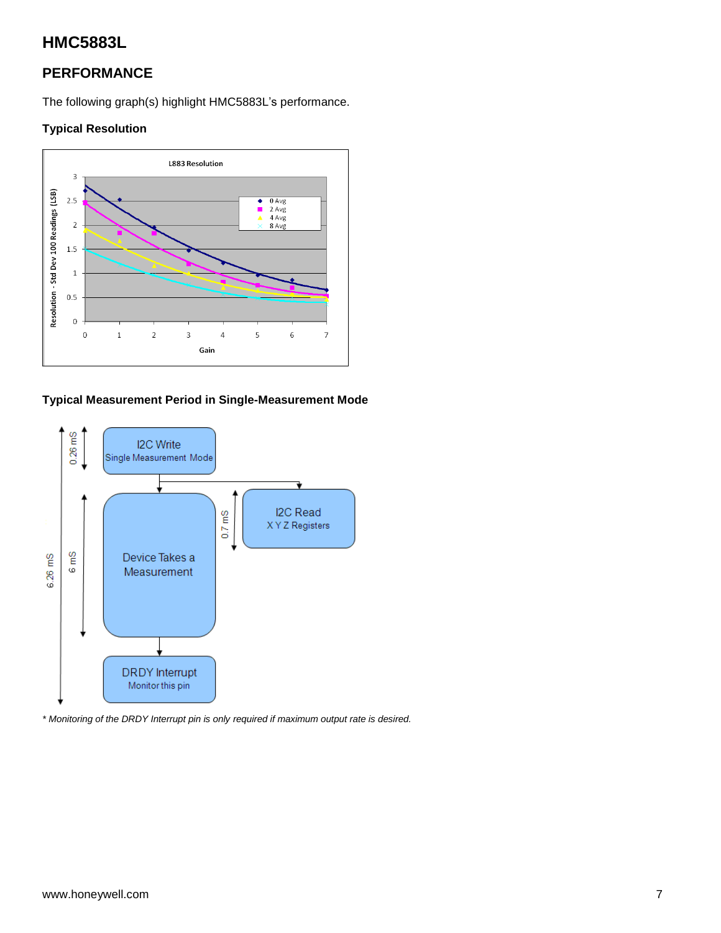### **PERFORMANCE**

The following graph(s) highlight HMC5883L's performance.

#### **Typical Resolution**



#### **Typical Measurement Period in Single-Measurement Mode**



*\* Monitoring of the DRDY Interrupt pin is only required if maximum output rate is desired.*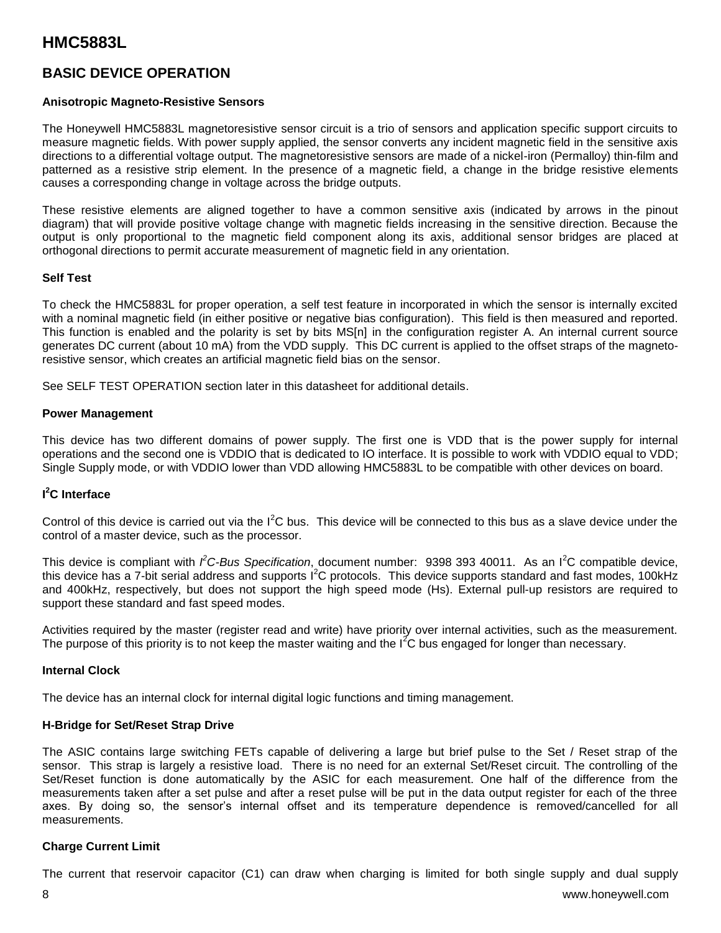### **BASIC DEVICE OPERATION**

#### **Anisotropic Magneto-Resistive Sensors**

The Honeywell HMC5883L magnetoresistive sensor circuit is a trio of sensors and application specific support circuits to measure magnetic fields. With power supply applied, the sensor converts any incident magnetic field in the sensitive axis directions to a differential voltage output. The magnetoresistive sensors are made of a nickel-iron (Permalloy) thin-film and patterned as a resistive strip element. In the presence of a magnetic field, a change in the bridge resistive elements causes a corresponding change in voltage across the bridge outputs.

These resistive elements are aligned together to have a common sensitive axis (indicated by arrows in the pinout diagram) that will provide positive voltage change with magnetic fields increasing in the sensitive direction. Because the output is only proportional to the magnetic field component along its axis, additional sensor bridges are placed at orthogonal directions to permit accurate measurement of magnetic field in any orientation.

#### **Self Test**

To check the HMC5883L for proper operation, a self test feature in incorporated in which the sensor is internally excited with a nominal magnetic field (in either positive or negative bias configuration). This field is then measured and reported. This function is enabled and the polarity is set by bits MS[n] in the configuration register A. An internal current source generates DC current (about 10 mA) from the VDD supply. This DC current is applied to the offset straps of the magnetoresistive sensor, which creates an artificial magnetic field bias on the sensor.

See SELF TEST OPERATION section later in this datasheet for additional details.

#### **Power Management**

This device has two different domains of power supply. The first one is VDD that is the power supply for internal operations and the second one is VDDIO that is dedicated to IO interface. It is possible to work with VDDIO equal to VDD; Single Supply mode, or with VDDIO lower than VDD allowing HMC5883L to be compatible with other devices on board.

#### **I <sup>2</sup>C Interface**

Control of this device is carried out via the  $I^2C$  bus. This device will be connected to this bus as a slave device under the control of a master device, such as the processor.

This device is compliant with *i<sup>2</sup>C-Bus Specification*, document number: 9398 393 40011. As an I<sup>2</sup>C compatible device, this device has a 7-bit serial address and supports  $I^2C$  protocols. This device supports standard and fast modes, 100kHz and 400kHz, respectively, but does not support the high speed mode (Hs). External pull-up resistors are required to support these standard and fast speed modes.

Activities required by the master (register read and write) have priority over internal activities, such as the measurement. The purpose of this priority is to not keep the master waiting and the I<sup>2</sup>C bus engaged for longer than necessary.

#### **Internal Clock**

The device has an internal clock for internal digital logic functions and timing management.

#### **H-Bridge for Set/Reset Strap Drive**

The ASIC contains large switching FETs capable of delivering a large but brief pulse to the Set / Reset strap of the sensor. This strap is largely a resistive load. There is no need for an external Set/Reset circuit. The controlling of the Set/Reset function is done automatically by the ASIC for each measurement. One half of the difference from the measurements taken after a set pulse and after a reset pulse will be put in the data output register for each of the three axes. By doing so, the sensor's internal offset and its temperature dependence is removed/cancelled for all measurements.

#### **Charge Current Limit**

The current that reservoir capacitor (C1) can draw when charging is limited for both single supply and dual supply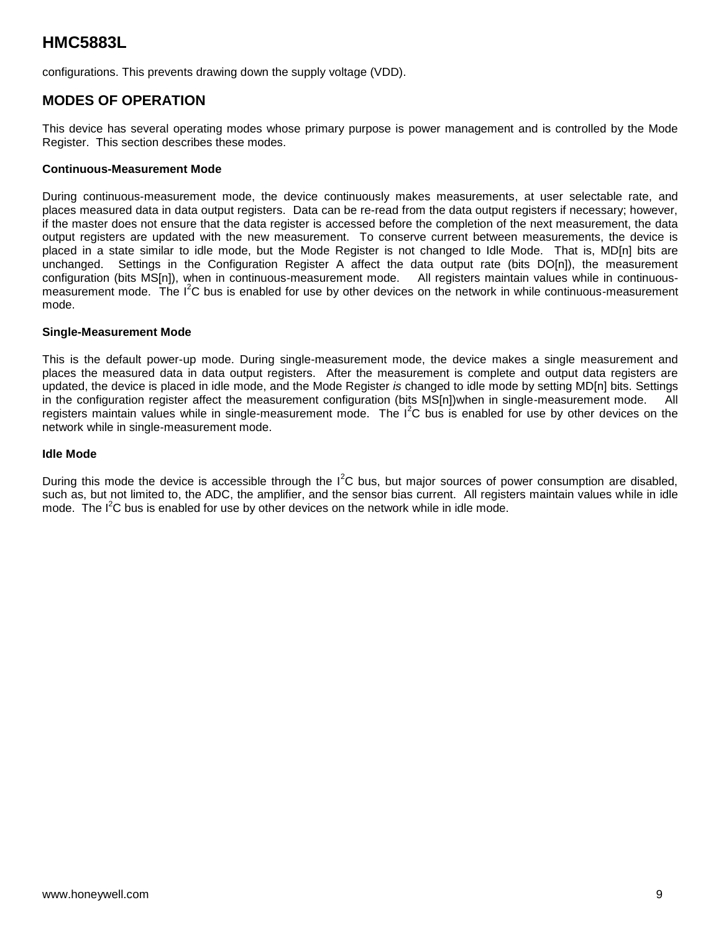configurations. This prevents drawing down the supply voltage (VDD).

### **MODES OF OPERATION**

This device has several operating modes whose primary purpose is power management and is controlled by the Mode Register. This section describes these modes.

#### **Continuous-Measurement Mode**

During continuous-measurement mode, the device continuously makes measurements, at user selectable rate, and places measured data in data output registers. Data can be re-read from the data output registers if necessary; however, if the master does not ensure that the data register is accessed before the completion of the next measurement, the data output registers are updated with the new measurement. To conserve current between measurements, the device is placed in a state similar to idle mode, but the Mode Register is not changed to Idle Mode. That is, MD[n] bits are unchanged. Settings in the Configuration Register A affect the data output rate (bits DO[n]), the measurement configuration (bits MS[n]), when in continuous-measurement mode. All registers maintain values while in continuousmeasurement mode. The I<sup>2</sup>C bus is enabled for use by other devices on the network in while continuous-measurement mode.

#### **Single-Measurement Mode**

This is the default power-up mode. During single-measurement mode, the device makes a single measurement and places the measured data in data output registers. After the measurement is complete and output data registers are updated, the device is placed in idle mode, and the Mode Register *is* changed to idle mode by setting MD[n] bits. Settings in the configuration register affect the measurement configuration (bits MS[n])when in single-measurement mode. All registers maintain values while in single-measurement mode. The I<sup>2</sup>C bus is enabled for use by other devices on the network while in single-measurement mode.

#### **Idle Mode**

During this mode the device is accessible through the  $I^2C$  bus, but major sources of power consumption are disabled, such as, but not limited to, the ADC, the amplifier, and the sensor bias current. All registers maintain values while in idle mode. The I<sup>2</sup>C bus is enabled for use by other devices on the network while in idle mode.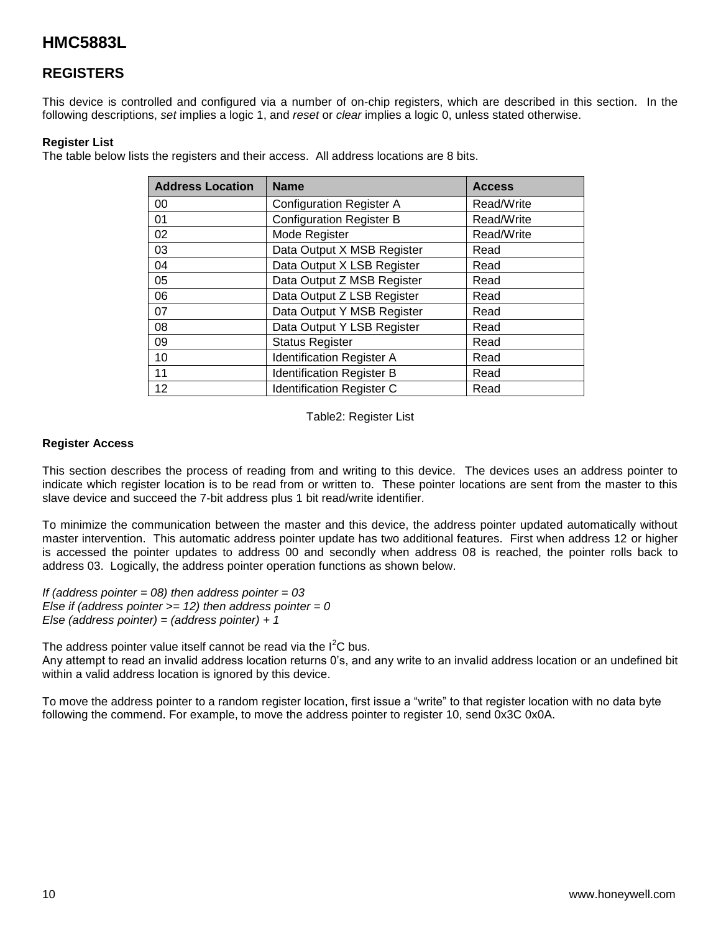### **REGISTERS**

This device is controlled and configured via a number of on-chip registers, which are described in this section. In the following descriptions, *set* implies a logic 1, and *reset* or *clear* implies a logic 0, unless stated otherwise.

#### **Register List**

The table below lists the registers and their access. All address locations are 8 bits.

| <b>Address Location</b> | <b>Name</b>                              |            |  |  |
|-------------------------|------------------------------------------|------------|--|--|
| 00                      | <b>Configuration Register A</b>          | Read/Write |  |  |
| 01                      | <b>Configuration Register B</b>          | Read/Write |  |  |
| 02                      | Mode Register                            | Read/Write |  |  |
| 03                      | Data Output X MSB Register               | Read       |  |  |
| 04                      | Data Output X LSB Register               | Read       |  |  |
| 05                      | Data Output Z MSB Register               | Read       |  |  |
| 06                      | Data Output Z LSB Register               | Read       |  |  |
| 07                      | Data Output Y MSB Register               | Read       |  |  |
| 08                      | Data Output Y LSB Register               | Read       |  |  |
| 09                      | <b>Status Register</b>                   | Read       |  |  |
| 10                      | <b>Identification Register A</b>         | Read       |  |  |
| 11                      | <b>Identification Register B</b>         | Read       |  |  |
| 12                      | <b>Identification Register C</b><br>Read |            |  |  |

Table2: Register List

#### **Register Access**

This section describes the process of reading from and writing to this device. The devices uses an address pointer to indicate which register location is to be read from or written to. These pointer locations are sent from the master to this slave device and succeed the 7-bit address plus 1 bit read/write identifier.

To minimize the communication between the master and this device, the address pointer updated automatically without master intervention. This automatic address pointer update has two additional features. First when address 12 or higher is accessed the pointer updates to address 00 and secondly when address 08 is reached, the pointer rolls back to address 03. Logically, the address pointer operation functions as shown below.

*If (address pointer = 08) then address pointer = 03 Else if (address pointer >= 12) then address pointer = 0 Else (address pointer) = (address pointer) + 1*

The address pointer value itself cannot be read via the  $I<sup>2</sup>C$  bus.

Any attempt to read an invalid address location returns 0's, and any write to an invalid address location or an undefined bit within a valid address location is ignored by this device.

To move the address pointer to a random register location, first issue a "write" to that register location with no data byte following the commend. For example, to move the address pointer to register 10, send 0x3C 0x0A.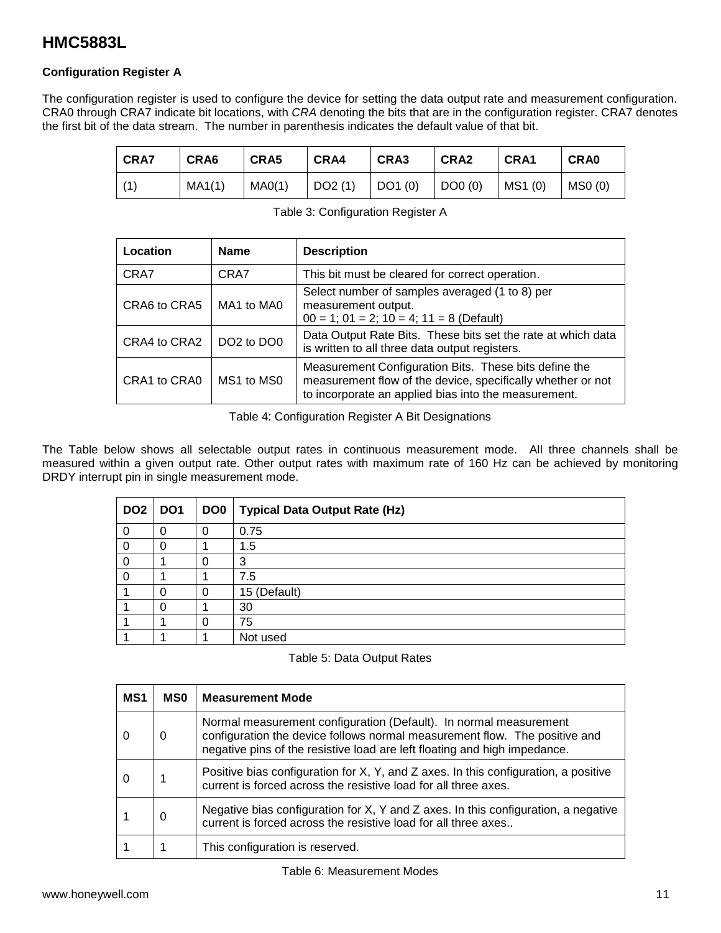#### **Configuration Register A**

The configuration register is used to configure the device for setting the data output rate and measurement configuration. CRA0 through CRA7 indicate bit locations, with *CRA* denoting the bits that are in the configuration register. CRA7 denotes the first bit of the data stream. The number in parenthesis indicates the default value of that bit.

| ∣ CRA7 | CRA6   | CRA5   | CRA4   | CRA3              | CRA <sub>2</sub> | CRA1    | <b>CRA0</b> |
|--------|--------|--------|--------|-------------------|------------------|---------|-------------|
| (1)    | MA1(1) | MAO(1) | DO2(1) | $\vert$ DO1 $(0)$ | DO0 (0)          | MS1 (0) | MSO(0)      |

Table 3: Configuration Register A

| Location     | <b>Name</b>                        | <b>Description</b>                                                                                                                                                           |
|--------------|------------------------------------|------------------------------------------------------------------------------------------------------------------------------------------------------------------------------|
| CRA7         | CRA7                               | This bit must be cleared for correct operation.                                                                                                                              |
| CRA6 to CRA5 | MA1 to MA0                         | Select number of samples averaged (1 to 8) per<br>measurement output.<br>$00 = 1$ ; $01 = 2$ ; $10 = 4$ ; $11 = 8$ (Default)                                                 |
| CRA4 to CRA2 | DO <sub>2</sub> to DO <sub>0</sub> | Data Output Rate Bits. These bits set the rate at which data<br>is written to all three data output registers.                                                               |
| CRA1 to CRA0 | MS1 to MS0                         | Measurement Configuration Bits. These bits define the<br>measurement flow of the device, specifically whether or not<br>to incorporate an applied bias into the measurement. |

Table 4: Configuration Register A Bit Designations

The Table below shows all selectable output rates in continuous measurement mode. All three channels shall be measured within a given output rate. Other output rates with maximum rate of 160 Hz can be achieved by monitoring DRDY interrupt pin in single measurement mode.

| DO <sub>2</sub> | DO <sub>1</sub> | DO <sub>0</sub> | <b>Typical Data Output Rate (Hz)</b> |
|-----------------|-----------------|-----------------|--------------------------------------|
| 0               | 0               |                 | 0.75                                 |
| 0               | 0               |                 | 1.5                                  |
| $\Omega$        |                 |                 | 3                                    |
| $\Omega$        |                 |                 | 7.5                                  |
|                 | 0               |                 | 15 (Default)                         |
|                 | 0               |                 | 30                                   |
|                 |                 |                 | 75                                   |
|                 |                 |                 | Not used                             |

Table 5: Data Output Rates

| MS1 | <b>MSO</b> | <b>Measurement Mode</b>                                                                                                                                                                                                      |
|-----|------------|------------------------------------------------------------------------------------------------------------------------------------------------------------------------------------------------------------------------------|
|     | O          | Normal measurement configuration (Default). In normal measurement<br>configuration the device follows normal measurement flow. The positive and<br>negative pins of the resistive load are left floating and high impedance. |
|     |            | Positive bias configuration for X, Y, and Z axes. In this configuration, a positive<br>current is forced across the resistive load for all three axes.                                                                       |
|     | 0          | Negative bias configuration for X, Y and Z axes. In this configuration, a negative<br>current is forced across the resistive load for all three axes                                                                         |
|     |            | This configuration is reserved.                                                                                                                                                                                              |

Table 6: Measurement Modes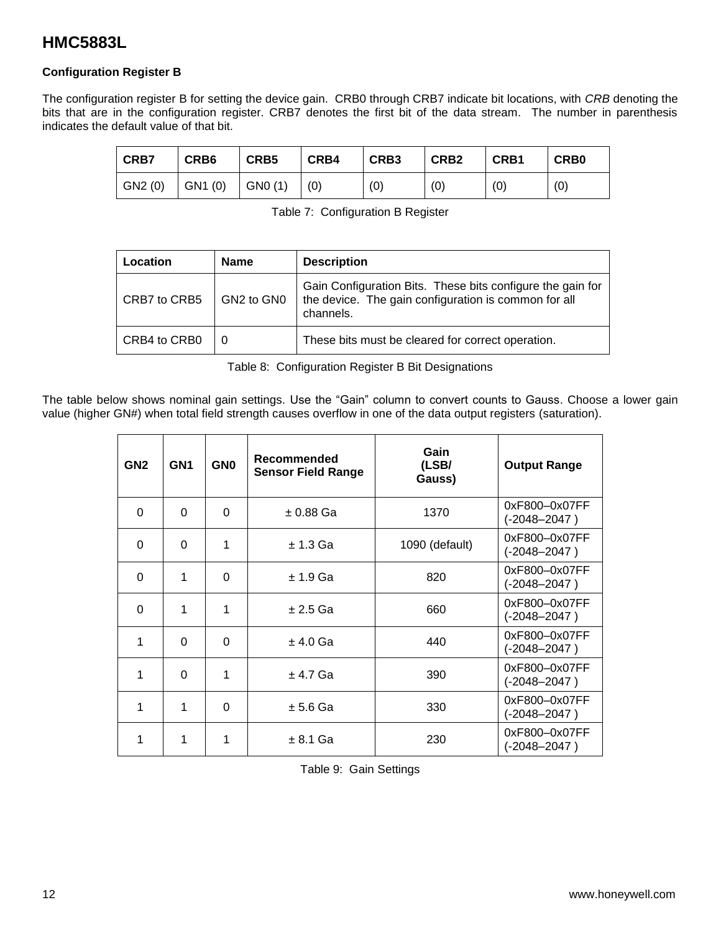#### **Configuration Register B**

The configuration register B for setting the device gain. CRB0 through CRB7 indicate bit locations, with *CRB* denoting the bits that are in the configuration register. CRB7 denotes the first bit of the data stream. The number in parenthesis indicates the default value of that bit.

| <b>CRB7</b> | CRB <sub>6</sub> | CRB <sub>5</sub> | CRB4 | CRB <sub>3</sub> | CRB <sub>2</sub> | CRB1 | <b>CRB0</b> |
|-------------|------------------|------------------|------|------------------|------------------|------|-------------|
| GN2(0)      | GN1(0)           | GN0 (1)          | (0)  | (0)              | (0)              | (0)  | (0)         |

|  | Table 7: Configuration B Register |  |
|--|-----------------------------------|--|
|--|-----------------------------------|--|

| _ocation     | <b>Name</b> | <b>Description</b>                                                                                                              |
|--------------|-------------|---------------------------------------------------------------------------------------------------------------------------------|
| CRB7 to CRB5 | GN2 to GN0  | Gain Configuration Bits. These bits configure the gain for<br>the device. The gain configuration is common for all<br>channels. |
| CRB4 to CRB0 | 0           | These bits must be cleared for correct operation.                                                                               |

Table 8: Configuration Register B Bit Designations

The table below shows nominal gain settings. Use the "Gain" column to convert counts to Gauss. Choose a lower gain value (higher GN#) when total field strength causes overflow in one of the data output registers (saturation).

| GN <sub>2</sub> | GN <sub>1</sub> | <b>GN0</b> | Recommended<br><b>Sensor Field Range</b> | Gain<br>(LSB/<br>Gauss) | <b>Output Range</b>               |
|-----------------|-----------------|------------|------------------------------------------|-------------------------|-----------------------------------|
| $\Omega$        | 0               | 0          | $\pm$ 0.88 Ga                            | 1370                    | 0xF800-0x07FF<br>$(-2048 - 2047)$ |
| $\Omega$        | 0               | 1          | $± 1.3$ Ga                               | 1090 (default)          | 0xF800-0x07FF<br>$(-2048 - 2047)$ |
| $\Omega$        | 1               | $\Omega$   | $± 1.9$ Ga                               | 820                     | 0xF800-0x07FF<br>$(-2048 - 2047)$ |
| $\Omega$        | 1               | 1          | $± 2.5$ Ga                               | 660                     | 0xF800-0x07FF<br>$(-2048 - 2047)$ |
| 1               | 0               | 0          | $±$ 4.0 Ga                               | 440                     | 0xF800-0x07FF<br>$(-2048 - 2047)$ |
| 1               | $\Omega$        | 1          | $± 4.7$ Ga                               | 390                     | 0xF800-0x07FF<br>$(-2048 - 2047)$ |
| 1               | 1               | $\Omega$   | $± 5.6$ Ga                               | 330                     | 0xF800-0x07FF<br>(-2048–2047)     |
| 1               | 1               | 1          | $± 8.1$ Ga                               | 230                     | 0xF800-0x07FF<br>$(-2048 - 2047)$ |

Table 9: Gain Settings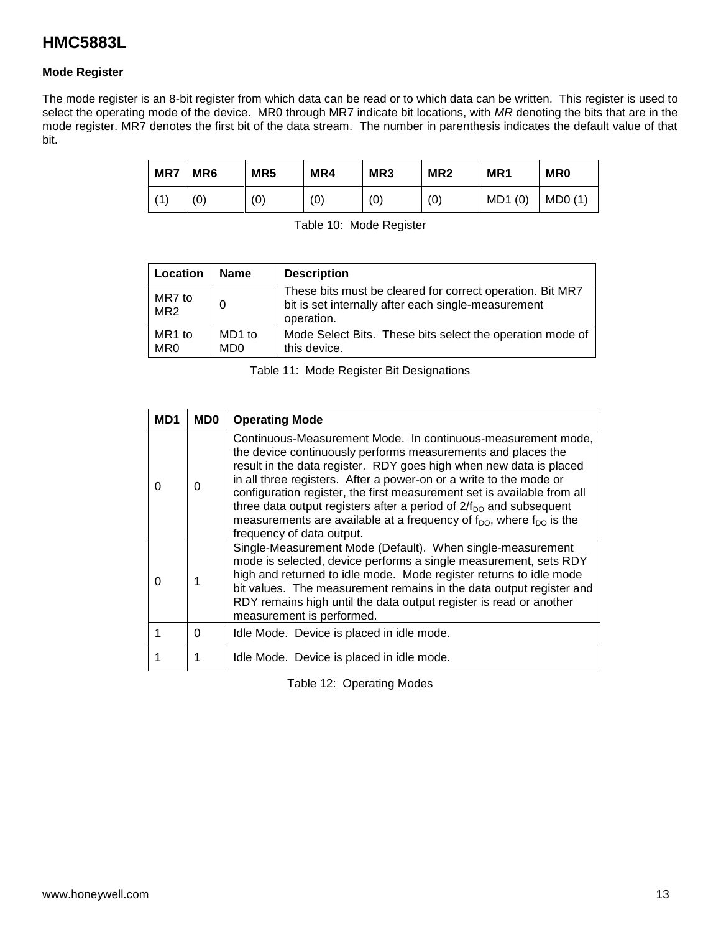#### **Mode Register**

The mode register is an 8-bit register from which data can be read or to which data can be written. This register is used to select the operating mode of the device. MR0 through MR7 indicate bit locations, with *MR* denoting the bits that are in the mode register. MR7 denotes the first bit of the data stream. The number in parenthesis indicates the default value of that bit.

| MR7 | MR <sub>6</sub> | MR <sub>5</sub> | MR4 | MR <sub>3</sub> | MR <sub>2</sub> | MR <sub>1</sub> | <b>MR0</b> |
|-----|-----------------|-----------------|-----|-----------------|-----------------|-----------------|------------|
| (1) | '0)             | (0)             | (0) | (0)             | (0)             | MD1(0)          | MDO(1)     |

Table 10: Mode Register

| Location                  | <b>Name</b>               | <b>Description</b>                                                                                                             |
|---------------------------|---------------------------|--------------------------------------------------------------------------------------------------------------------------------|
| MR7 to<br>MR <sub>2</sub> | 0                         | These bits must be cleared for correct operation. Bit MR7<br>bit is set internally after each single-measurement<br>operation. |
| MR1 to<br>MR0             | MD1 to<br>MD <sub>0</sub> | Mode Select Bits. These bits select the operation mode of<br>this device.                                                      |

Table 11: Mode Register Bit Designations

| MD <sub>1</sub> | MD0 | <b>Operating Mode</b>                                                                                                                                                                                                                                                                                                                                                                                                                                                                                                                                             |
|-----------------|-----|-------------------------------------------------------------------------------------------------------------------------------------------------------------------------------------------------------------------------------------------------------------------------------------------------------------------------------------------------------------------------------------------------------------------------------------------------------------------------------------------------------------------------------------------------------------------|
| 0               | 0   | Continuous-Measurement Mode. In continuous-measurement mode,<br>the device continuously performs measurements and places the<br>result in the data register. RDY goes high when new data is placed<br>in all three registers. After a power-on or a write to the mode or<br>configuration register, the first measurement set is available from all<br>three data output registers after a period of $2/f_{\text{DO}}$ and subsequent<br>measurements are available at a frequency of $f_{\text{DO}}$ , where $f_{\text{DO}}$ is the<br>frequency of data output. |
| O               |     | Single-Measurement Mode (Default). When single-measurement<br>mode is selected, device performs a single measurement, sets RDY<br>high and returned to idle mode. Mode register returns to idle mode<br>bit values. The measurement remains in the data output register and<br>RDY remains high until the data output register is read or another<br>measurement is performed.                                                                                                                                                                                    |
|                 | 0   | Idle Mode. Device is placed in idle mode.                                                                                                                                                                                                                                                                                                                                                                                                                                                                                                                         |
|                 |     | Idle Mode. Device is placed in idle mode.                                                                                                                                                                                                                                                                                                                                                                                                                                                                                                                         |

Table 12: Operating Modes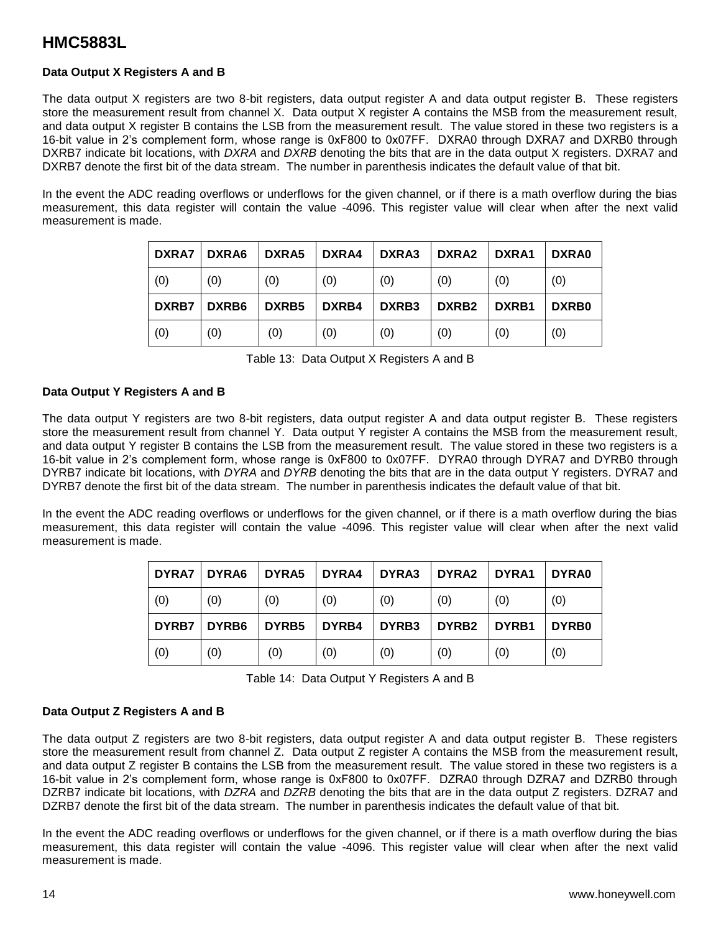#### **Data Output X Registers A and B**

The data output X registers are two 8-bit registers, data output register A and data output register B. These registers store the measurement result from channel X. Data output X register A contains the MSB from the measurement result, and data output X register B contains the LSB from the measurement result. The value stored in these two registers is a 16-bit value in 2's complement form, whose range is 0xF800 to 0x07FF. DXRA0 through DXRA7 and DXRB0 through DXRB7 indicate bit locations, with *DXRA* and *DXRB* denoting the bits that are in the data output X registers. DXRA7 and DXRB7 denote the first bit of the data stream. The number in parenthesis indicates the default value of that bit.

In the event the ADC reading overflows or underflows for the given channel, or if there is a math overflow during the bias measurement, this data register will contain the value -4096. This register value will clear when after the next valid measurement is made.

| <b>DXRA7</b> | DXRA6 | DXRA5 | DXRA4 | DXRA3 | DXRA2             | DXRA1 | DXRA0        |
|--------------|-------|-------|-------|-------|-------------------|-------|--------------|
| (0)          | (0)   | (0)   | (0)   | (0)   | (0)               | (0)   | (0)          |
| <b>DXRB7</b> | DXRB6 | DXRB5 | DXRB4 | DXRB3 | DXRB <sub>2</sub> | DXRB1 | <b>DXRB0</b> |
| (0)          | (0)   | (0)   | (0)   | (0)   | (0)               | (0)   | (0)          |

Table 13: Data Output X Registers A and B

#### **Data Output Y Registers A and B**

The data output Y registers are two 8-bit registers, data output register A and data output register B. These registers store the measurement result from channel Y. Data output Y register A contains the MSB from the measurement result, and data output Y register B contains the LSB from the measurement result. The value stored in these two registers is a 16-bit value in 2's complement form, whose range is 0xF800 to 0x07FF. DYRA0 through DYRA7 and DYRB0 through DYRB7 indicate bit locations, with *DYRA* and *DYRB* denoting the bits that are in the data output Y registers. DYRA7 and DYRB7 denote the first bit of the data stream. The number in parenthesis indicates the default value of that bit.

In the event the ADC reading overflows or underflows for the given channel, or if there is a math overflow during the bias measurement, this data register will contain the value -4096. This register value will clear when after the next valid measurement is made.

| <b>DYRA7</b> | DYRA6 | DYRA5             | DYRA4 | DYRA3 | DYRA2             | DYRA1 | DYRA0 |
|--------------|-------|-------------------|-------|-------|-------------------|-------|-------|
| (0)          | (0)   | (0)               | (0)   | (0)   | (0)               | (0)   | (0)   |
| DYRB7        | DYRB6 | DYRB <sub>5</sub> | DYRB4 | DYRB3 | DYRB <sub>2</sub> | DYRB1 | DYRB0 |
| (0)          | (0)   | (0)               | (0)   | (0)   | (0)               | (0)   | (0)   |

Table 14: Data Output Y Registers A and B

#### **Data Output Z Registers A and B**

The data output Z registers are two 8-bit registers, data output register A and data output register B. These registers store the measurement result from channel Z. Data output Z register A contains the MSB from the measurement result, and data output Z register B contains the LSB from the measurement result. The value stored in these two registers is a 16-bit value in 2's complement form, whose range is 0xF800 to 0x07FF. DZRA0 through DZRA7 and DZRB0 through DZRB7 indicate bit locations, with *DZRA* and *DZRB* denoting the bits that are in the data output Z registers. DZRA7 and DZRB7 denote the first bit of the data stream. The number in parenthesis indicates the default value of that bit.

In the event the ADC reading overflows or underflows for the given channel, or if there is a math overflow during the bias measurement, this data register will contain the value -4096. This register value will clear when after the next valid measurement is made.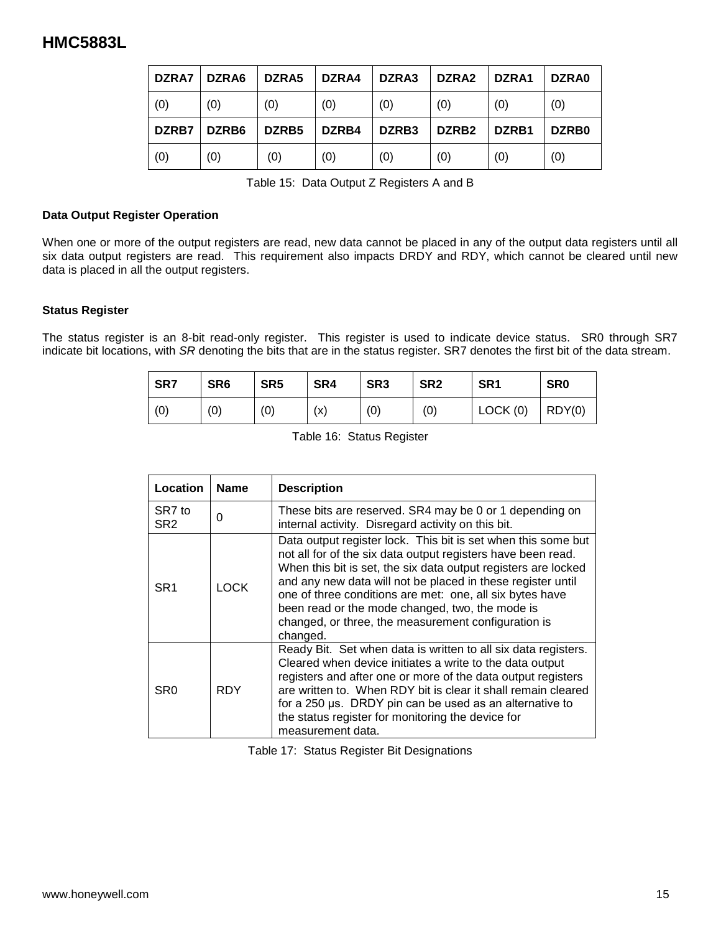| DZRA7 | DZRA6 | DZRA5 | DZRA4 | DZRA3 | DZRA2             | DZRA1 | DZRA0 |
|-------|-------|-------|-------|-------|-------------------|-------|-------|
| (0)   | (0)   | (0)   | (0)   | (0)   | (0)               | (0)   | (0)   |
| DZRB7 | DZRB6 | DZRB5 | DZRB4 | DZRB3 | DZRB <sub>2</sub> | DZRB1 | DZRB0 |
| (0)   | (0)   | (0)   | (0)   | (0)   | (0)               | (0)   | (0)   |

Table 15: Data Output Z Registers A and B

#### **Data Output Register Operation**

When one or more of the output registers are read, new data cannot be placed in any of the output data registers until all six data output registers are read. This requirement also impacts DRDY and RDY, which cannot be cleared until new data is placed in all the output registers.

#### **Status Register**

The status register is an 8-bit read-only register. This register is used to indicate device status. SR0 through SR7 indicate bit locations, with *SR* denoting the bits that are in the status register. SR7 denotes the first bit of the data stream.

| SR7 | SR <sub>6</sub> | SR <sub>5</sub> | SR4 | SR <sub>3</sub> | SR <sub>2</sub> | SR <sub>1</sub> | <b>SR0</b> |
|-----|-----------------|-----------------|-----|-----------------|-----------------|-----------------|------------|
| (0) | (0)             | (0)             | (x) | (0)             | (0)             | LOCK(0)         | ROY(0)     |

|  |  |  | Table 16: Status Register |
|--|--|--|---------------------------|
|--|--|--|---------------------------|

| Location                  | <b>Name</b> | <b>Description</b>                                                                                                                                                                                                                                                                                                                                                                                                                               |
|---------------------------|-------------|--------------------------------------------------------------------------------------------------------------------------------------------------------------------------------------------------------------------------------------------------------------------------------------------------------------------------------------------------------------------------------------------------------------------------------------------------|
| SR7 to<br>SR <sub>2</sub> | 0           | These bits are reserved. SR4 may be 0 or 1 depending on<br>internal activity. Disregard activity on this bit.                                                                                                                                                                                                                                                                                                                                    |
| SR <sub>1</sub>           | <b>LOCK</b> | Data output register lock. This bit is set when this some but<br>not all for of the six data output registers have been read.<br>When this bit is set, the six data output registers are locked<br>and any new data will not be placed in these register until<br>one of three conditions are met: one, all six bytes have<br>been read or the mode changed, two, the mode is<br>changed, or three, the measurement configuration is<br>changed. |
| SR <sub>0</sub>           | <b>RDY</b>  | Ready Bit. Set when data is written to all six data registers.<br>Cleared when device initiates a write to the data output<br>registers and after one or more of the data output registers<br>are written to. When RDY bit is clear it shall remain cleared<br>for a 250 µs. DRDY pin can be used as an alternative to<br>the status register for monitoring the device for<br>measurement data.                                                 |

Table 17: Status Register Bit Designations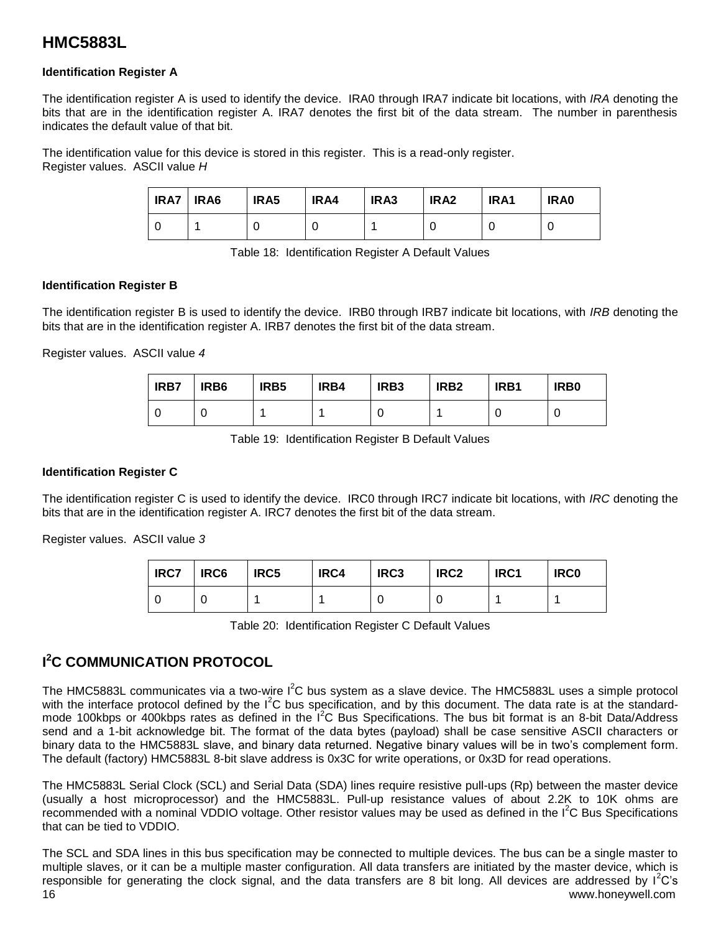#### **Identification Register A**

The identification register A is used to identify the device. IRA0 through IRA7 indicate bit locations, with *IRA* denoting the bits that are in the identification register A. IRA7 denotes the first bit of the data stream. The number in parenthesis indicates the default value of that bit.

The identification value for this device is stored in this register. This is a read-only register. Register values. ASCII value *H*

| IRA7 | IRA6 | IRA5 | IRA4 | IRA3 | IRA2 | IRA1 | IRA0 |
|------|------|------|------|------|------|------|------|
|      |      |      |      |      |      |      |      |

Table 18: Identification Register A Default Values

#### **Identification Register B**

The identification register B is used to identify the device. IRB0 through IRB7 indicate bit locations, with *IRB* denoting the bits that are in the identification register A. IRB7 denotes the first bit of the data stream.

Register values. ASCII value *4*

| IRB7 | IRB <sub>6</sub> | IRB <sub>5</sub> | IRB4 | IRB <sub>3</sub> | IRB <sub>2</sub> | IRB1 | IRB <sub>0</sub> |
|------|------------------|------------------|------|------------------|------------------|------|------------------|
|      |                  |                  |      |                  |                  |      |                  |

Table 19: Identification Register B Default Values

#### **Identification Register C**

The identification register C is used to identify the device. IRC0 through IRC7 indicate bit locations, with *IRC* denoting the bits that are in the identification register A. IRC7 denotes the first bit of the data stream.

Register values. ASCII value *3*

| <b>IRC7</b> | IRC6 | IRC5 | IRC4 | IRC <sub>3</sub> | IRC <sub>2</sub> | IRC1 | <b>IRC0</b> |
|-------------|------|------|------|------------------|------------------|------|-------------|
|             |      |      |      |                  |                  |      |             |

Table 20: Identification Register C Default Values

### **I <sup>2</sup>C COMMUNICATION PROTOCOL**

The HMC5883L communicates via a two-wire  $I^2C$  bus system as a slave device. The HMC5883L uses a simple protocol with the interface protocol defined by the  $I^2C$  bus specification, and by this document. The data rate is at the standardmode 100kbps or 400kbps rates as defined in the  $I^2C$  Bus Specifications. The bus bit format is an 8-bit Data/Address send and a 1-bit acknowledge bit. The format of the data bytes (payload) shall be case sensitive ASCII characters or binary data to the HMC5883L slave, and binary data returned. Negative binary values will be in two's complement form. The default (factory) HMC5883L 8-bit slave address is 0x3C for write operations, or 0x3D for read operations.

The HMC5883L Serial Clock (SCL) and Serial Data (SDA) lines require resistive pull-ups (Rp) between the master device (usually a host microprocessor) and the HMC5883L. Pull-up resistance values of about 2.2K to 10K ohms are recommended with a nominal VDDIO voltage. Other resistor values may be used as defined in the I<sup>2</sup>C Bus Specifications that can be tied to VDDIO.

16 www.honeywell.com The SCL and SDA lines in this bus specification may be connected to multiple devices. The bus can be a single master to multiple slaves, or it can be a multiple master configuration. All data transfers are initiated by the master device, which is responsible for generating the clock signal, and the data transfers are 8 bit long. All devices are addressed by  $I^2C$ 's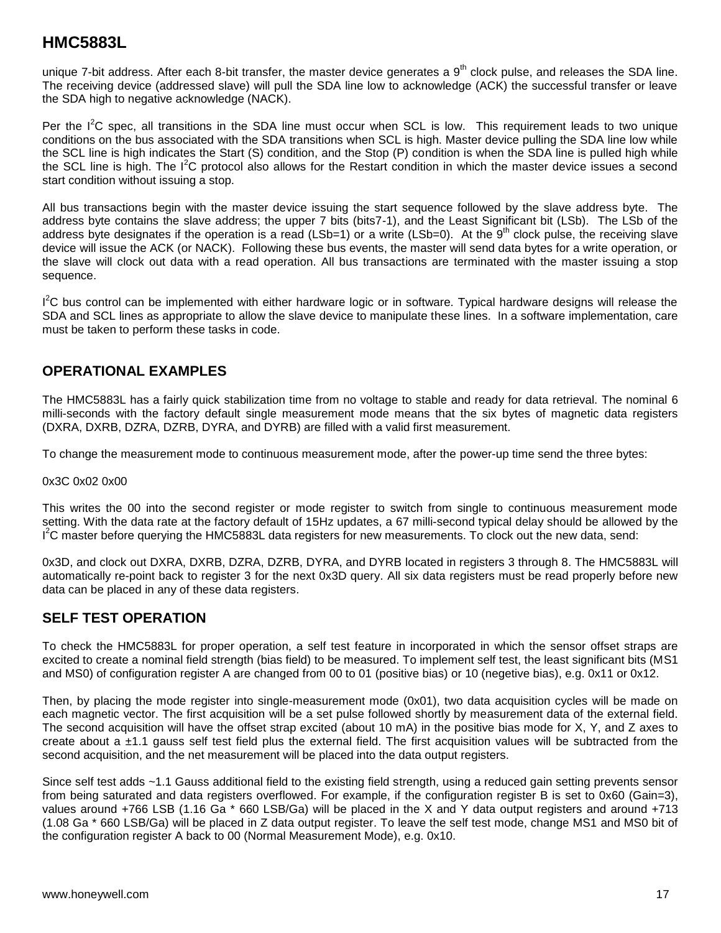unique 7-bit address. After each 8-bit transfer, the master device generates a  $9<sup>th</sup>$  clock pulse, and releases the SDA line. The receiving device (addressed slave) will pull the SDA line low to acknowledge (ACK) the successful transfer or leave the SDA high to negative acknowledge (NACK).

Per the  $I^2C$  spec, all transitions in the SDA line must occur when SCL is low. This requirement leads to two unique conditions on the bus associated with the SDA transitions when SCL is high. Master device pulling the SDA line low while the SCL line is high indicates the Start (S) condition, and the Stop (P) condition is when the SDA line is pulled high while the SCL line is high. The I<sup>2</sup>C protocol also allows for the Restart condition in which the master device issues a second start condition without issuing a stop.

All bus transactions begin with the master device issuing the start sequence followed by the slave address byte. The address byte contains the slave address; the upper 7 bits (bits7-1), and the Least Significant bit (LSb). The LSb of the address byte designates if the operation is a read (LSb=1) or a write (LSb=0). At the  $9<sup>th</sup>$  clock pulse, the receiving slave device will issue the ACK (or NACK). Following these bus events, the master will send data bytes for a write operation, or the slave will clock out data with a read operation. All bus transactions are terminated with the master issuing a stop sequence.

 $I^2C$  bus control can be implemented with either hardware logic or in software. Typical hardware designs will release the SDA and SCL lines as appropriate to allow the slave device to manipulate these lines. In a software implementation, care must be taken to perform these tasks in code.

### **OPERATIONAL EXAMPLES**

The HMC5883L has a fairly quick stabilization time from no voltage to stable and ready for data retrieval. The nominal 6 milli-seconds with the factory default single measurement mode means that the six bytes of magnetic data registers (DXRA, DXRB, DZRA, DZRB, DYRA, and DYRB) are filled with a valid first measurement.

To change the measurement mode to continuous measurement mode, after the power-up time send the three bytes:

#### 0x3C 0x02 0x00

This writes the 00 into the second register or mode register to switch from single to continuous measurement mode setting. With the data rate at the factory default of 15Hz updates, a 67 milli-second typical delay should be allowed by the I<sup>2</sup>C master before querying the HMC5883L data registers for new measurements. To clock out the new data, send:

0x3D, and clock out DXRA, DXRB, DZRA, DZRB, DYRA, and DYRB located in registers 3 through 8. The HMC5883L will automatically re-point back to register 3 for the next 0x3D query. All six data registers must be read properly before new data can be placed in any of these data registers.

#### **SELF TEST OPERATION**

To check the HMC5883L for proper operation, a self test feature in incorporated in which the sensor offset straps are excited to create a nominal field strength (bias field) to be measured. To implement self test, the least significant bits (MS1 and MS0) of configuration register A are changed from 00 to 01 (positive bias) or 10 (negetive bias), e.g. 0x11 or 0x12.

Then, by placing the mode register into single-measurement mode (0x01), two data acquisition cycles will be made on each magnetic vector. The first acquisition will be a set pulse followed shortly by measurement data of the external field. The second acquisition will have the offset strap excited (about 10 mA) in the positive bias mode for X, Y, and Z axes to create about a ±1.1 gauss self test field plus the external field. The first acquisition values will be subtracted from the second acquisition, and the net measurement will be placed into the data output registers.

Since self test adds ~1.1 Gauss additional field to the existing field strength, using a reduced gain setting prevents sensor from being saturated and data registers overflowed. For example, if the configuration register B is set to 0x60 (Gain=3), values around +766 LSB (1.16 Ga \* 660 LSB/Ga) will be placed in the X and Y data output registers and around +713 (1.08 Ga \* 660 LSB/Ga) will be placed in Z data output register. To leave the self test mode, change MS1 and MS0 bit of the configuration register A back to 00 (Normal Measurement Mode), e.g. 0x10.